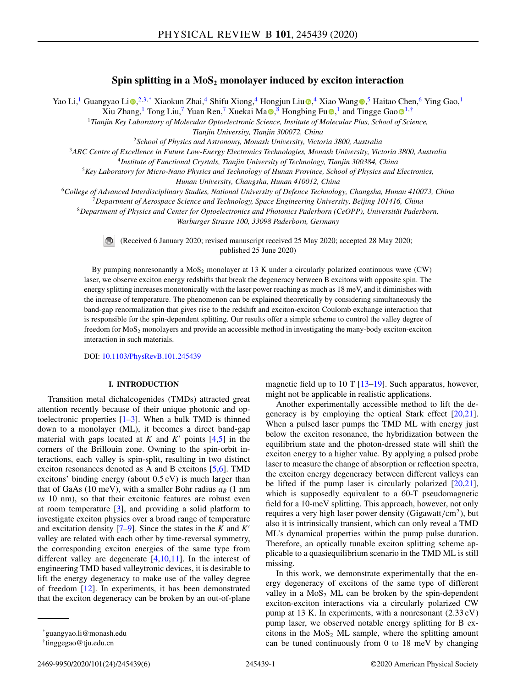# **Spin splitting in a MoS<sub>2</sub> monolayer induced by exciton interaction**

Yao Li[,](https://orcid.org/0000-0002-2973-8215)<sup>1</sup> Guangyao Li $\odot$ ,<sup>2,3,\*</sup> Xiaokun Zhai,<sup>4</sup> Shifu Xiong,<sup>4</sup> Hongjun Liu $\odot$ ,<sup>4</sup> Xiao Wang $\odot$ ,<sup>5</sup> Haitao Chen,<sup>6</sup> Ying Gao,<sup>1</sup>

Xiu Zhang[,](https://orcid.org/0000-0002-6659-4134)<s[u](https://orcid.org/0000-0003-4528-189X)p>1</sup> T[o](https://orcid.org/0000-0003-4711-0365)ng Liu,<sup>7</sup> Yuan Ren,<sup>7</sup> Xuekai Ma $\bullet$ ,<sup>8</sup> Hongbing Fu $\bullet$ ,<sup>1</sup> and Tingge Gao $\bullet$ <sup>1,†</sup>

<sup>1</sup>*Tianjin Key Laboratory of Molecular Optoelectronic Science, Institute of Molecular Plus, School of Science, Tianjin University, Tianjin 300072, China*

<sup>2</sup>*School of Physics and Astronomy, Monash University, Victoria 3800, Australia*

<sup>3</sup>*ARC Centre of Excellence in Future Low-Energy Electronics Technologies, Monash University, Victoria 3800, Australia*

<sup>4</sup>*Institute of Functional Crystals, Tianjin University of Technology, Tianjin 300384, China*

<sup>5</sup>*Key Laboratory for Micro-Nano Physics and Technology of Hunan Province, School of Physics and Electronics,*

*Hunan University, Changsha, Hunan 410012, China*

<sup>6</sup>*College of Advanced Interdisciplinary Studies, National University of Defence Technology, Changsha, Hunan 410073, China*

<sup>7</sup>*Department of Aerospace Science and Technology, Space Engineering University, Beijing 101416, China*

<sup>8</sup>*Department of Physics and Center for Optoelectronics and Photonics Paderborn (CeOPP), Universität Paderborn,*

*Warburger Strasse 100, 33098 Paderborn, Germany*



(Received 6 January 2020; revised manuscript received 25 May 2020; accepted 28 May 2020; published 25 June 2020)

By pumping nonresonantly a  $MoS<sub>2</sub>$  monolayer at 13 K under a circularly polarized continuous wave (CW) laser, we observe exciton energy redshifts that break the degeneracy between B excitons with opposite spin. The energy splitting increases monotonically with the laser power reaching as much as 18 meV, and it diminishes with the increase of temperature. The phenomenon can be explained theoretically by considering simultaneously the band-gap renormalization that gives rise to the redshift and exciton-exciton Coulomb exchange interaction that is responsible for the spin-dependent splitting. Our results offer a simple scheme to control the valley degree of freedom for MoS2 monolayers and provide an accessible method in investigating the many-body exciton-exciton interaction in such materials.

DOI: [10.1103/PhysRevB.101.245439](https://doi.org/10.1103/PhysRevB.101.245439)

## **I. INTRODUCTION**

Transition metal dichalcogenides (TMDs) attracted great attention recently because of their unique photonic and optoelectronic properties  $[1-3]$ . When a bulk TMD is thinned down to a monolayer (ML), it becomes a direct band-gap material with gaps located at  $K$  and  $K'$  points  $[4,5]$  in the corners of the Brillouin zone. Owning to the spin-orbit interactions, each valley is spin-split, resulting in two distinct exciton resonances denoted as A and B excitons [\[5,6\]](#page-4-0). TMD excitons' binding energy (about  $0.5 \text{ eV}$ ) is much larger than that of GaAs (10 meV), with a smaller Bohr radius  $a_B$  (1 nm *vs* 10 nm), so that their excitonic features are robust even at room temperature [\[3\]](#page-4-0), and providing a solid platform to investigate exciton physics over a broad range of temperature and excitation density [\[7–9\]](#page-4-0). Since the states in the *K* and *K* valley are related with each other by time-reversal symmetry, the corresponding exciton energies of the same type from different valley are degenerate  $[4,10,11]$ . In the interest of engineering TMD based valleytronic devices, it is desirable to lift the energy degeneracy to make use of the valley degree of freedom [\[12\]](#page-4-0). In experiments, it has been demonstrated that the exciton degeneracy can be broken by an out-of-plane

magnetic field up to 10 T  $[13–19]$ . Such apparatus, however, might not be applicable in realistic applications.

Another experimentally accessible method to lift the degeneracy is by employing the optical Stark effect [\[20,21\]](#page-4-0). When a pulsed laser pumps the TMD ML with energy just below the exciton resonance, the hybridization between the equilibrium state and the photon-dressed state will shift the exciton energy to a higher value. By applying a pulsed probe laser to measure the change of absorption or reflection spectra, the exciton energy degeneracy between different valleys can be lifted if the pump laser is circularly polarized [\[20,21\]](#page-4-0), which is supposedly equivalent to a 60-T pseudomagnetic field for a 10-meV splitting. This approach, however, not only requires a very high laser power density (Gigawatt/cm<sup>2</sup>), but also it is intrinsically transient, which can only reveal a TMD ML's dynamical properties within the pump pulse duration. Therefore, an optically tunable exciton splitting scheme applicable to a quasiequilibrium scenario in the TMD ML is still missing.

In this work, we demonstrate experimentally that the energy degeneracy of excitons of the same type of different valley in a  $MoS<sub>2</sub> ML$  can be broken by the spin-dependent exciton-exciton interactions via a circularly polarized CW pump at 13 K. In experiments, with a nonresonant (2.33 eV) pump laser, we observed notable energy splitting for B excitons in the  $MoS<sub>2</sub> ML sample$ , where the splitting amount can be tuned continuously from 0 to 18 meV by changing

<sup>\*</sup>guangyao.li@monash.edu

<sup>†</sup>tinggegao@tju.edu.cn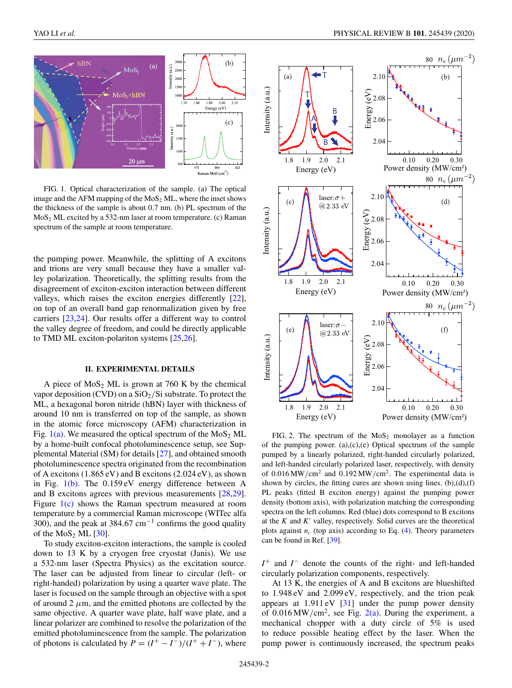<span id="page-1-0"></span>

FIG. 1. Optical characterization of the sample. (a) The optical image and the AFM mapping of the  $MoS<sub>2</sub> ML$ , where the inset shows the thickness of the sample is about 0.7 nm. (b) PL spectrum of the  $MoS<sub>2</sub> ML excited by a 532-nm laser at room temperature. (c) Raman$ spectrum of the sample at room temperature.

the pumping power. Meanwhile, the splitting of A excitons and trions are very small because they have a smaller valley polarization. Theoretically, the splitting results from the disagreement of exciton-exciton interaction between different valleys, which raises the exciton energies differently [\[22\]](#page-4-0), on top of an overall band gap renormalization given by free carriers [\[23,24\]](#page-4-0). Our results offer a different way to control the valley degree of freedom, and could be directly applicable to TMD ML exciton-polariton systems [\[25,26\]](#page-4-0).

## **II. EXPERIMENTAL DETAILS**

A piece of  $MoS<sub>2</sub> ML$  is grown at 760 K by the chemical vapor deposition (CVD) on a  $SiO<sub>2</sub>/Si$  substrate. To protect the ML, a hexagonal boron nitride (hBN) layer with thickness of around 10 nm is transferred on top of the sample, as shown in the atomic force microscopy (AFM) characterization in Fig.  $1(a)$ . We measured the optical spectrum of the MoS<sub>2</sub> ML by a home-built confocal photoluminescence setup, see Supplemental Material (SM) for details [\[27\]](#page-4-0), and obtained smooth photoluminescence spectra originated from the recombination of A excitons (1.865 eV) and B excitons (2.024 eV), as shown in Fig. 1(b). The 0.159 eV energy difference between A and B excitons agrees with previous measurements [\[28,29\]](#page-4-0). Figure 1(c) shows the Raman spectrum measured at room temperature by a commercial Raman microscope (WITec alfa 300), and the peak at 384.67 cm<sup>-1</sup> confirms the good quality of the  $MoS_2$  ML  $[30]$ .

To study exciton-exciton interactions, the sample is cooled down to 13 K by a cryogen free cryostat (Janis). We use a 532-nm laser (Spectra Physics) as the excitation source. The laser can be adjusted from linear to circular (left- or right-handed) polarization by using a quarter wave plate. The laser is focused on the sample through an objective with a spot of around 2  $\mu$ m, and the emitted photons are collected by the same objective. A quarter wave plate, half wave plate, and a linear polarizer are combined to resolve the polarization of the emitted photoluminescence from the sample. The polarization of photons is calculated by  $P = (I^+ - I^-)/(I^+ + I^-)$ , where



FIG. 2. The spectrum of the  $MoS<sub>2</sub>$  monolayer as a function of the pumping power. (a),(c),(e) Optical spectrum of the sample pumped by a linearly polarized, right-handed circularly polarized, and left-handed circularly polarized laser, respectively, with density of  $0.016 \text{ MW/cm}^2$  and  $0.192 \text{ MW/cm}^2$ . The experimental data is shown by circles, the fitting cures are shown using lines.  $(b),(d),(f)$ PL peaks (fitted B exciton energy) against the pumping power density (bottom axis), with polarization matching the corresponding spectra on the left columns. Red (blue) dots correspond to B excitons at the  $K$  and  $K'$  valley, respectively. Solid curves are the theoretical plots against  $n_c$  (top axis) according to Eq.  $(4)$ . Theory parameters can be found in Ref. [\[39\]](#page-4-0).

*I*<sup>+</sup> and *I*<sup>−</sup> denote the counts of the right- and left-handed circularly polarization components, respectively.

At 13 K, the energies of A and B excitons are blueshifted to 1.948 eV and 2.099 eV, respectively, and the trion peak appears at  $1.911 \text{ eV}$  [\[31\]](#page-4-0) under the pump power density of  $0.016 \text{MW/cm}^2$ , see Fig.  $2(a)$ . During the experiment, a mechanical chopper with a duty circle of 5% is used to reduce possible heating effect by the laser. When the pump power is continuously increased, the spectrum peaks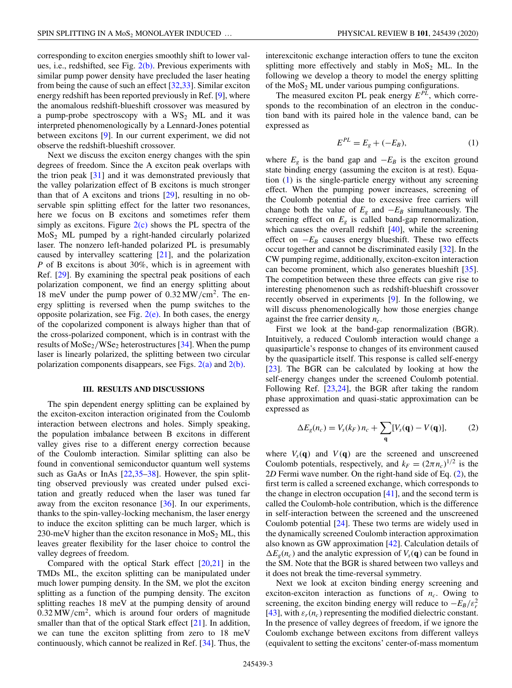<span id="page-2-0"></span>corresponding to exciton energies smoothly shift to lower values, i.e., redshifted, see Fig.  $2(b)$ . Previous experiments with similar pump power density have precluded the laser heating from being the cause of such an effect [\[32,33\]](#page-4-0). Similar exciton energy redshift has been reported previously in Ref. [\[9\]](#page-4-0), where the anomalous redshift-blueshift crossover was measured by a pump-probe spectroscopy with a  $WS_2$  ML and it was interpreted phenomenologically by a Lennard-Jones potential between excitons [\[9\]](#page-4-0). In our current experiment, we did not observe the redshift-blueshift crossover.

Next we discuss the exciton energy changes with the spin degrees of freedom. Since the A exciton peak overlaps with the trion peak  $[31]$  and it was demonstrated previously that the valley polarization effect of B excitons is much stronger than that of A excitons and trions [\[29\]](#page-4-0), resulting in no observable spin splitting effect for the latter two resonances, here we focus on B excitons and sometimes refer them simply as excitons. Figure  $2(c)$  shows the PL spectra of the  $MoS<sub>2</sub>$  ML pumped by a right-handed circularly polarized laser. The nonzero left-handed polarized PL is presumably caused by intervalley scattering [\[21\]](#page-4-0), and the polarization *P* of B excitons is about 30%, which is in agreement with Ref. [\[29\]](#page-4-0). By examining the spectral peak positions of each polarization component, we find an energy splitting about 18 meV under the pump power of 0.32 MW/cm2. The energy splitting is reversed when the pump switches to the opposite polarization, see Fig.  $2(e)$ . In both cases, the energy of the copolarized component is always higher than that of the cross-polarized component, which is in contrast with the results of  $MoSe_2/WSe_2$  heterostructures [\[34\]](#page-4-0). When the pump laser is linearly polarized, the splitting between two circular polarization components disappears, see Figs.  $2(a)$  and  $2(b)$ .

#### **III. RESULTS AND DISCUSSIONS**

The spin dependent energy splitting can be explained by the exciton-exciton interaction originated from the Coulomb interaction between electrons and holes. Simply speaking, the population imbalance between B excitons in different valley gives rise to a different energy correction because of the Coulomb interaction. Similar splitting can also be found in conventional semiconductor quantum well systems such as GaAs or InAs [\[22,35–38\]](#page-4-0). However, the spin splitting observed previously was created under pulsed excitation and greatly reduced when the laser was tuned far away from the exciton resonance  $[36]$ . In our experiments, thanks to the spin-valley-locking mechanism, the laser energy to induce the exciton splitting can be much larger, which is 230-meV higher than the exciton resonance in  $MoS<sub>2</sub> ML$ , this leaves greater flexibility for the laser choice to control the valley degrees of freedom.

Compared with the optical Stark effect  $[20,21]$  in the TMDs ML, the exciton splitting can be manipulated under much lower pumping density. In the SM, we plot the exciton splitting as a function of the pumping density. The exciton splitting reaches 18 meV at the pumping density of around  $0.32 \text{ MW/cm}^2$ , which is around four orders of magnitude smaller than that of the optical Stark effect  $[21]$ . In addition, we can tune the exciton splitting from zero to 18 meV continuously, which cannot be realized in Ref. [\[34\]](#page-4-0). Thus, the interexcitonic exchange interaction offers to tune the exciton splitting more effectively and stably in  $MoS<sub>2</sub> ML$ . In the following we develop a theory to model the energy splitting of the  $MoS<sub>2</sub> ML$  under various pumping configurations.

The measured exciton PL peak energy  $E^{PL}$ , which corresponds to the recombination of an electron in the conduction band with its paired hole in the valence band, can be expressed as

$$
E^{PL} = E_g + (-E_B),
$$
 (1)

where  $E_g$  is the band gap and  $-E_B$  is the exciton ground state binding energy (assuming the exciton is at rest). Equation (1) is the single-particle energy without any screening effect. When the pumping power increases, screening of the Coulomb potential due to excessive free carriers will change both the value of  $E_g$  and  $-E_B$  simultaneously. The screening effect on  $E_g$  is called band-gap renormalization, which causes the overall redshift [\[40\]](#page-4-0), while the screening effect on  $-E_B$  causes energy blueshift. These two effects occur together and cannot be discriminated easily [\[32\]](#page-4-0). In the CW pumping regime, additionally, exciton-exciton interaction can become prominent, which also generates blueshift [\[35\]](#page-4-0). The competition between these three effects can give rise to interesting phenomenon such as redshift-blueshift crossover recently observed in experiments [\[9\]](#page-4-0). In the following, we will discuss phenomenologically how those energies change against the free carrier density *nc*.

First we look at the band-gap renormalization (BGR). Intuitively, a reduced Coulomb interaction would change a quasiparticle's response to changes of its environment caused by the quasiparticle itself. This response is called self-energy [\[23\]](#page-4-0). The BGR can be calculated by looking at how the self-energy changes under the screened Coulomb potential. Following Ref. [\[23,24\]](#page-4-0), the BGR after taking the random phase approximation and quasi-static approximation can be expressed as

$$
\Delta E_g(n_c) = V_s(k_F) n_c + \sum_{\mathbf{q}} [V_s(\mathbf{q}) - V(\mathbf{q})],\tag{2}
$$

where  $V_s(q)$  and  $V(q)$  are the screened and unscreened Coulomb potentials, respectively, and  $k_F = (2\pi n_c)^{1/2}$  is the 2*D* Fermi wave number. On the right-hand side of Eq. (2), the first term is called a screened exchange, which corresponds to the change in electron occupation  $[41]$ , and the second term is called the Coulomb-hole contribution, which is the difference in self-interaction between the screened and the unscreened Coulomb potential [\[24\]](#page-4-0). These two terms are widely used in the dynamically screened Coulomb interaction approximation also known as GW approximation [\[42\]](#page-4-0). Calculation details of  $\Delta E_g(n_c)$  and the analytic expression of  $V_s(\mathbf{q})$  can be found in the SM. Note that the BGR is shared between two valleys and it does not break the time-reversal symmetry.

Next we look at exciton binding energy screening and exciton-exciton interaction as functions of  $n_c$ . Owing to screening, the exciton binding energy will reduce to  $-E_B/\varepsilon_r^2$ [\[43\]](#page-4-0), with  $\varepsilon_r(n_c)$  representing the modified dielectric constant. In the presence of valley degrees of freedom, if we ignore the Coulomb exchange between excitons from different valleys (equivalent to setting the excitons' center-of-mass momentum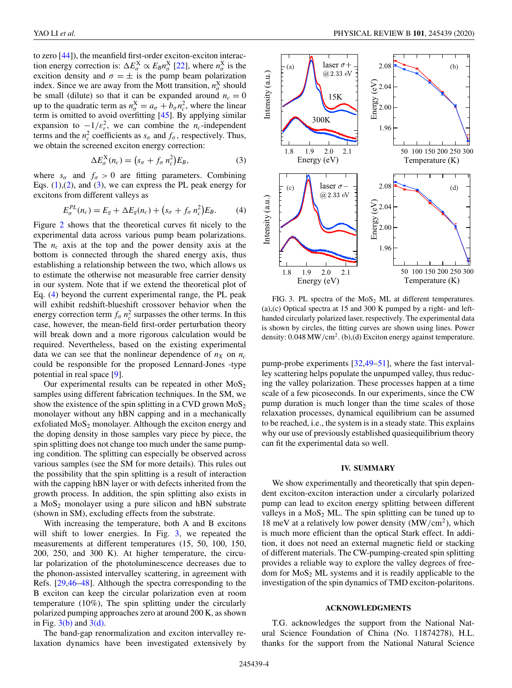<span id="page-3-0"></span>to zero [\[44\]](#page-5-0)), the meanfield first-order exciton-exciton interaction energy correction is:  $\Delta E_{\sigma}^{X} \propto E_{B} n_{\sigma}^{X}$  [\[22\]](#page-4-0), where  $n_{\sigma}^{X}$  is the excition density and  $\sigma = \pm$  is the pump beam polarization index. Since we are away from the Mott transition,  $n_{\sigma}^{\text{X}}$  should be small (dilute) so that it can be expanded around  $n_c = 0$ up to the quadratic term as  $n_{\sigma}^{\text{X}} = a_{\sigma} + b_{\sigma} n_{\text{c}}^2$ , where the linear term is omitted to avoid overfitting [\[45\]](#page-5-0). By applying similar expansion to  $-1/\varepsilon_r^2$ , we can combine the *n<sub>c</sub>*-independent terms and the  $n_c^2$  coefficients as  $s_\sigma$  and  $f_\sigma$ , respectively. Thus, we obtain the screened exciton energy correction:

$$
\Delta E_{\sigma}^X(n_c) = \left(s_{\sigma} + f_{\sigma} n_c^2\right) E_B,\tag{3}
$$

where  $s_{\sigma}$  and  $f_{\sigma} > 0$  are fitting parameters. Combining Eqs.  $(1)$ , $(2)$ , and  $(3)$ , we can express the PL peak energy for excitons from different valleys as

$$
E_{\sigma}^{PL}(n_c) = E_g + \Delta E_g(n_c) + \left(s_{\sigma} + f_{\sigma} n_c^2\right) E_B.
$$
 (4)

Figure [2](#page-1-0) shows that the theoretical curves fit nicely to the experimental data across various pump beam polarizations. The *n<sub>c</sub>* axis at the top and the power density axis at the bottom is connected through the shared energy axis, thus establishing a relationship between the two, which allows us to estimate the otherwise not measurable free carrier density in our system. Note that if we extend the theoretical plot of Eq. (4) beyond the current experimental range, the PL peak will exhibit redshift-blueshift crossover behavior when the energy correction term  $f_{\sigma}$   $n_c^2$  surpasses the other terms. In this case, however, the mean-field first-order perturbation theory will break down and a more rigorous calculation would be required. Nevertheless, based on the existing experimental data we can see that the nonlinear dependence of  $n_X$  on  $n_C$ could be responsible for the proposed Lennard-Jones -type potential in real space [\[9\]](#page-4-0).

Our experimental results can be repeated in other  $MoS<sub>2</sub>$ samples using different fabrication techniques. In the SM, we show the existence of the spin splitting in a CVD grown  $MoS<sub>2</sub>$ monolayer without any hBN capping and in a mechanically exfoliated  $MoS<sub>2</sub>$  monolayer. Although the exciton energy and the doping density in those samples vary piece by piece, the spin splitting does not change too much under the same pumping condition. The splitting can especially be observed across various samples (see the SM for more details). This rules out the possibility that the spin splitting is a result of interaction with the capping hBN layer or with defects inherited from the growth process. In addition, the spin splitting also exists in a  $MoS<sub>2</sub>$  monolayer using a pure silicon and hBN substrate (shown in SM), excluding effects from the substrate.

With increasing the temperature, both A and B excitons will shift to lower energies. In Fig. 3, we repeated the measurements at different temperatures (15, 50, 100, 150, 200, 250, and 300 K). At higher temperature, the circular polarization of the photoluminescence decreases due to the phonon-assisted intervalley scattering, in agreement with Refs. [\[29](#page-4-0)[,46–48\]](#page-5-0). Although the spectra corresponding to the B exciton can keep the circular polarization even at room temperature (10%), The spin splitting under the circularly polarized pumping approaches zero at around 200 K, as shown in Fig.  $3(b)$  and  $3(d)$ .

The band-gap renormalization and exciton intervalley relaxation dynamics have been investigated extensively by



FIG. 3. PL spectra of the  $MoS<sub>2</sub>$  ML at different temperatures. (a),(c) Optical spectra at 15 and 300 K pumped by a right- and lefthanded circularly polarized laser, respectively. The experimental data is shown by circles, the fitting curves are shown using lines. Power density:  $0.048 \,\mathrm{MW/cm^2}$ . (b), (d) Exciton energy against temperature.

pump-probe experiments [\[32](#page-4-0)[,49–51\]](#page-5-0), where the fast intervalley scattering helps populate the unpumped valley, thus reducing the valley polarization. These processes happen at a time scale of a few picoseconds. In our experiments, since the CW pump duration is much longer than the time scales of those relaxation processes, dynamical equilibrium can be assumed to be reached, i.e., the system is in a steady state. This explains why our use of previously established quasiequilibrium theory can fit the experimental data so well.

## **IV. SUMMARY**

We show experimentally and theoretically that spin dependent exciton-exciton interaction under a circularly polarized pump can lead to exciton energy splitting between different valleys in a  $MoS<sub>2</sub> ML$ . The spin splitting can be tuned up to 18 meV at a relatively low power density  $(MW/cm<sup>2</sup>)$ , which is much more efficient than the optical Stark effect. In addition, it does not need an external magnetic field or stacking of different materials. The CW-pumping-created spin splitting provides a reliable way to explore the valley degrees of freedom for  $MoS<sub>2</sub> ML$  systems and it is readily applicable to the investigation of the spin dynamics of TMD exciton-polaritons.

## **ACKNOWLEDGMENTS**

T.G. acknowledges the support from the National Natural Science Foundation of China (No. 11874278), H.L. thanks for the support from the National Natural Science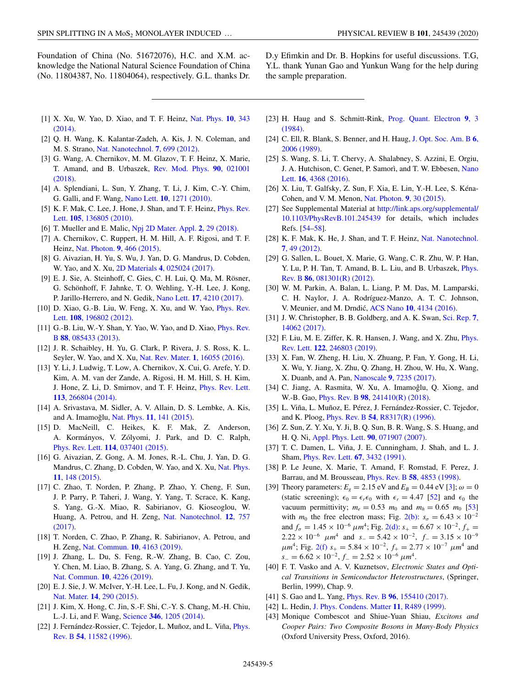<span id="page-4-0"></span>Foundation of China (No. 51672076), H.C. and X.M. acknowledge the National Natural Science Foundation of China (No. 11804387, No. 11804064), respectively. G.L. thanks Dr. D.y Efimkin and Dr. B. Hopkins for useful discussions. T.G, Y.L. thank Yunan Gao and Yunkun Wang for the help during the sample preparation.

- [1] [X. Xu, W. Yao, D. Xiao, and T. F. Heinz,](https://doi.org/10.1038/nphys2942) Nat. Phys. **10**, 343 (2014).
- [2] Q. H. Wang, K. Kalantar-Zadeh, A. Kis, J. N. Coleman, and M. S. Strano, [Nat. Nanotechnol.](https://doi.org/10.1038/nnano.2012.193) **7**, 699 (2012).
- [3] G. Wang, A. Chernikov, M. M. Glazov, T. F. Heinz, X. Marie, [T. Amand, and B. Urbaszek,](https://doi.org/10.1103/RevModPhys.90.021001) Rev. Mod. Phys. **90**, 021001 (2018).
- [4] A. Splendiani, L. Sun, Y. Zhang, T. Li, J. Kim, C.-Y. Chim, G. Galli, and F. Wang, Nano Lett. **10**[, 1271 \(2010\).](https://doi.org/10.1021/nl903868w)
- [5] [K. F. Mak, C. Lee, J. Hone, J. Shan, and T. F. Heinz,](https://doi.org/10.1103/PhysRevLett.105.136805) *Phys. Rev.* Lett. **105**, 136805 (2010).
- [6] T. Mueller and E. Malic, [Npj 2D Mater. Appl.](https://doi.org/10.1038/s41699-018-0074-2) **2**, 29 (2018).
- [7] A. Chernikov, C. Ruppert, H. M. Hill, A. F. Rigosi, and T. F. Heinz, [Nat. Photon.](https://doi.org/10.1038/nphoton.2015.104) **9**, 466 (2015).
- [8] G. Aivazian, H. Yu, S. Wu, J. Yan, D. G. Mandrus, D. Cobden, W. Yao, and X. Xu, 2D Materials **4**[, 025024 \(2017\).](https://doi.org/10.1088/2053-1583/aa56f1)
- [9] E. J. Sie, A. Steinhoff, C. Gies, C. H. Lui, Q. Ma, M. Rösner, G. Schönhoff, F. Jahnke, T. O. Wehling, Y.-H. Lee, J. Kong, P. Jarillo-Herrero, and N. Gedik, Nano Lett. **17**[, 4210 \(2017\).](https://doi.org/10.1021/acs.nanolett.7b01034)
- [10] [D. Xiao, G.-B. Liu, W. Feng, X. Xu, and W. Yao,](https://doi.org/10.1103/PhysRevLett.108.196802) Phys. Rev. Lett. **108**, 196802 (2012).
- [11] [G.-B. Liu, W.-Y. Shan, Y. Yao, W. Yao, and D. Xiao,](https://doi.org/10.1103/PhysRevB.88.085433) *Phys. Rev.* B **88**, 085433 (2013).
- [12] J. R. Schaibley, H. Yu, G. Clark, P. Rivera, J. S. Ross, K. L. Seyler, W. Yao, and X. Xu, [Nat. Rev. Mater.](https://doi.org/10.1038/natrevmats.2016.55) **1**, 16055 (2016).
- [13] Y. Li, J. Ludwig, T. Low, A. Chernikov, X. Cui, G. Arefe, Y. D. Kim, A. M. van der Zande, A. Rigosi, H. M. Hill, S. H. Kim, [J. Hone, Z. Li, D. Smirnov, and T. F. Heinz,](https://doi.org/10.1103/PhysRevLett.113.266804) Phys. Rev. Lett. **113**, 266804 (2014).
- [14] A. Srivastava, M. Sidler, A. V. Allain, D. S. Lembke, A. Kis, and A. Imamoğlu, Nat. Phys. 11[, 141 \(2015\).](https://doi.org/10.1038/nphys3203)
- [15] D. MacNeill, C. Heikes, K. F. Mak, Z. Anderson, A. Kormányos, V. Zólyomi, J. Park, and D. C. Ralph, Phys. Rev. Lett. **114**[, 037401 \(2015\).](https://doi.org/10.1103/PhysRevLett.114.037401)
- [16] G. Aivazian, Z. Gong, A. M. Jones, R.-L. Chu, J. Yan, D. G. [Mandrus, C. Zhang, D. Cobden, W. Yao, and X. Xu,](https://doi.org/10.1038/nphys3201) Nat. Phys. **11**, 148 (2015).
- [17] C. Zhao, T. Norden, P. Zhang, P. Zhao, Y. Cheng, F. Sun, J. P. Parry, P. Taheri, J. Wang, Y. Yang, T. Scrace, K. Kang, S. Yang, G.-X. Miao, R. Sabirianov, G. Kioseoglou, W. [Huang, A. Petrou, and H. Zeng,](https://doi.org/10.1038/nnano.2017.68) Nat. Nanotechnol. **12**, 757 (2017).
- [18] T. Norden, C. Zhao, P. Zhang, R. Sabirianov, A. Petrou, and H. Zeng, [Nat. Commun.](https://doi.org/10.1038/s41467-019-11966-4) **10**, 4163 (2019).
- [19] J. Zhang, L. Du, S. Feng, R.-W. Zhang, B. Cao, C. Zou, Y. Chen, M. Liao, B. Zhang, S. A. Yang, G. Zhang, and T. Yu, [Nat. Commun.](https://doi.org/10.1038/s41467-019-12128-2) **10**, 4226 (2019).
- [20] E. J. Sie, J. W. McIver, Y.-H. Lee, L. Fu, J. Kong, and N. Gedik, Nat. Mater. **14**[, 290 \(2015\).](https://doi.org/10.1038/nmat4156)
- [21] J. Kim, X. Hong, C. Jin, S.-F. Shi, C.-Y. S. Chang, M.-H. Chiu, L.-J. Li, and F. Wang, Science **346**[, 1205 \(2014\).](https://doi.org/10.1126/science.1258122)
- [22] [J. Fernández-Rossier, C. Tejedor, L. Muñoz, and L. Viña,](https://doi.org/10.1103/PhysRevB.54.11582) Phys. Rev. B **54**, 11582 (1996).
- [23] [H. Haug and S. Schmitt-Rink,](https://doi.org/10.1016/0079-6727(84)90026-0) Prog. Quant. Electron **9**, 3 (1984).
- [24] [C. Ell, R. Blank, S. Benner, and H. Haug,](https://doi.org/10.1364/JOSAB.6.002006) J. Opt. Soc. Am. B **6**, 2006 (1989).
- [25] S. Wang, S. Li, T. Chervy, A. Shalabney, S. Azzini, E. Orgiu, [J. A. Hutchison, C. Genet, P. Samorì, and T. W. Ebbesen,](https://doi.org/10.1021/acs.nanolett.6b01475) Nano Lett. **16**, 4368 (2016).
- [26] X. Liu, T. Galfsky, Z. Sun, F. Xia, E. Lin, Y.-H. Lee, S. Kéna-Cohen, and V. M. Menon, [Nat. Photon.](https://doi.org/10.1038/nphoton.2014.304) **9**, 30 (2015).
- [27] See Supplemental Material at [http://link.aps.org/supplemental/](http://link.aps.org/supplemental/10.1103/PhysRevB.101.245439) 10.1103/PhysRevB.101.245439 for details, which includes Refs. [\[54–58\]](#page-5-0).
- [28] [K. F. Mak, K. He, J. Shan, and T. F. Heinz,](https://doi.org/10.1038/nnano.2012.96) Nat. Nanotechnol. **7**, 49 (2012).
- [29] G. Sallen, L. Bouet, X. Marie, G. Wang, C. R. Zhu, W. P. Han, [Y. Lu, P. H. Tan, T. Amand, B. L. Liu, and B. Urbaszek,](https://doi.org/10.1103/PhysRevB.86.081301) Phys. Rev. B **86**, 081301(R) (2012).
- [30] W. M. Parkin, A. Balan, L. Liang, P. M. Das, M. Lamparski, C. H. Naylor, J. A. Rodríguez-Manzo, A. T. C. Johnson, V. Meunier, and M. Drndic,´ ACS Nano **10**[, 4134 \(2016\).](https://doi.org/10.1021/acsnano.5b07388)
- [31] [J. W. Christopher, B. B. Goldberg, and A. K. Swan,](https://doi.org/10.1038/s41598-017-14378-w) Sci. Rep. **7**, 14062 (2017).
- [32] [F. Liu, M. E. Ziffer, K. R. Hansen, J. Wang, and X. Zhu,](https://doi.org/10.1103/PhysRevLett.122.246803) *Phys.* Rev. Lett. **122**, 246803 (2019).
- [33] X. Fan, W. Zheng, H. Liu, X. Zhuang, P. Fan, Y. Gong, H. Li, X. Wu, Y. Jiang, X. Zhu, Q. Zhang, H. Zhou, W. Hu, X. Wang, X. Duanb, and A. Pan, Nanoscale **9**[, 7235 \(2017\).](https://doi.org/10.1039/C7NR01345K)
- [34] C. Jiang, A. Rasmita, W. Xu, A. Imamoĝlu, Q. Xiong, and W.-B. Gao, Phys. Rev. B **98**[, 241410\(R\) \(2018\).](https://doi.org/10.1103/PhysRevB.98.241410)
- [35] L. Viña, L. Muñoz, E. Pérez, J. Fernández-Rossier, C. Tejedor, and K. Ploog, Phys. Rev. B **54**[, R8317\(R\) \(1996\).](https://doi.org/10.1103/PhysRevB.54.R8317)
- [36] Z. Sun, Z. Y. Xu, Y. Ji, B. Q. Sun, B. R. Wang, S. S. Huang, and H. Q. Ni, [Appl. Phys. Lett.](https://doi.org/10.1063/1.2539600) **90**, 071907 (2007).
- [37] T. C. Damen, L. Viña, J. E. Cunningham, J. Shah, and L. J. Sham, [Phys. Rev. Lett.](https://doi.org/10.1103/PhysRevLett.67.3432) **67**, 3432 (1991).
- [38] P. Le Jeune, X. Marie, T. Amand, F. Romstad, F. Perez, J. Barrau, and M. Brousseau, Phys. Rev. B **58**[, 4853 \(1998\).](https://doi.org/10.1103/PhysRevB.58.4853)
- [39] Theory parameters:  $E_g = 2.15 \text{ eV}$  and  $E_B = 0.44 \text{ eV}$  [3];  $\omega = 0$ (static screening);  $\epsilon_0 = \epsilon_r \epsilon_0$  with  $\epsilon_r = 4.47$  [\[52\]](#page-5-0) and  $\epsilon_0$  the vacuum permittivity;  $m_e = 0.53$   $m_0$  and  $m_h = 0.65$   $m_0$  [\[53\]](#page-5-0) with *m*<sub>0</sub> the free electron mass; Fig. [2\(b\):](#page-1-0)  $s_\sigma = 6.43 \times 10^{-2}$ and  $f_{\sigma} = 1.45 \times 10^{-6} \mu m^4$ ; Fig. [2\(d\):](#page-1-0)  $s_{+} = 6.67 \times 10^{-2}$ ,  $f_{+} =$  $2.22 \times 10^{-6}$   $\mu$ m<sup>4</sup> and  $s_-=5.42 \times 10^{-2}$ ,  $f_-=3.15 \times 10^{-9}$  $\mu$ *m*<sup>4</sup>; Fig. [2\(f\)](#page-1-0) *s*<sub>+</sub> = 5.84 × 10<sup>-2</sup>, *f*<sub>+</sub> = 2.77 × 10<sup>-7</sup>  $\mu$ *m*<sup>4</sup> and  $s_-=6.62\times10^{-2}, f_-=2.52\times10^{-6} \ \mu m^4.$
- [40] F. T. Vasko and A. V. Kuznetsov, *Electronic States and Optical Transitions in Semiconductor Heterostructures*, (Springer, Berlin, 1999), Chap. 9.
- [41] S. Gao and L. Yang, Phys. Rev. B **96**[, 155410 \(2017\).](https://doi.org/10.1103/PhysRevB.96.155410)
- [42] L. Hedin, [J. Phys. Condens. Matter](https://doi.org/10.1088/0953-8984/11/42/201) **11**, R489 (1999).
- [43] Monique Combescot and Shiue-Yuan Shiau, *Excitons and Cooper Pairs: Two Composite Bosons in Many-Body Physics* (Oxford University Press, Oxford, 2016).